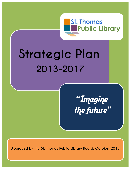

# **Strategic Plan 2013-2017**

"Imagine the future"

**Approved by the St. Thomas Public Library Board, October 2013**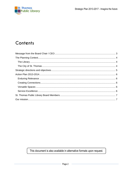

# Contents

# This document is also available in alternative formats upon request.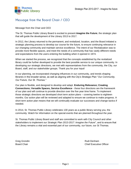

# <span id="page-2-0"></span>**Message from the Board Chair / CEO**

#### Message from the Chair and CEO

The St. Thomas Public Library Board is excited to present *Imagine the Future*, the strategic plan that will guide the development of the Library 2013 to 2017.

In 2012, the Library returned to the permanent, and revitalized, location, and the Board initiated a strategic planning process to develop our course for the future, to ensure continuing relevance in our changing community and maintain service excellence. The intent of our Revitalization was to provide more flexible spaces, and meet the needs of a community that has vastly different needs and expectations from the users entering the building when it opened in 1974.

When we started the process, we recognized that the concepts established by the revitalized library could be further developed to provide the best possible service to our unique community. In developing our strategic directions, we met with representatives from the community, the City, our Board, staff, and our stakeholder groups. Thank you for your input!

In our planning, we incorporated changing influences in our community, and trends shaping libraries in the broader sense, as well as aligning with the City's Strategic Plan "*Our Community, Our Future, Our St. Thomas."*

Our plan is flexible, and designed to develop and adapt. **Enduring Relevance; Creating Connections; Versatile Spaces, Service Excellence** - these four directions are the framework of our plan and will continue to provide direction over the five year time frame. To implement those strategic directions we developed short term action plans – covering twelve to eighteen months. Our action plan will be reviewed and adapted to ensure we continue to make progress. A short term action plan means that we will continually evaluate our successes and change tactics if needed.

In 2014, St. Thomas Public Library celebrates 130 years as a public library serving you, the community. Watch for information on the special events that are planned throughout the year.

St. Thomas Public Library Board and staff are committed to work with City Council and other stakeholders to implement our *Strategic Plan 2013-2017: Imagine the Future*", and to ensure that the Library remains a vital and essential part of our community, our future, our St Thomas.

Greg Grondin **Contract Contract Contract Contract Contract Contract Contract Contract Contract Contract Contract Contract Contract Contract Contract Contract Contract Contract Contract Contract Contract Contract Contract C** Board Chair Chair Chair Chief Executive Officer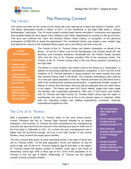

# <span id="page-3-0"></span>**The Library**

# **The Planning Context**

The Library has been on the current Curtis Street site since opening as a brand new facility in October, 1974. The library temporarily moved in March of 2011, to five storefronts in the Elgin Mall while a "Library Revitalization" took place. The 10-month project involved major interior demolition, construction and upgrades that included tripling the floor space of the Children's and Teens' Department by moving it to the ground floor. This area was renamed the "John and Dorothy Palmer Youth Library" in recognition of the generous endowment of \$300,000 to renew the department. The "revitalized" library now boasts a new, modern logo that reflects the colours in the revitalized library space and a new library card with a key fob.

#### **In 2011 STPL launched:**

- **A self-service check out**
- **"Express Reads" favourite books on a shorter read time**
- **"Ready Set Read" prefilled backpacks to promote literacy skills for young children**
- **New technology programs such as "Making Computers Click" for seniors and "Get your gadget"**

The Friends of the St. Thomas Library are tireless fundraisers on behalf of the library. Of the \$1.4 million cost for the Revitalization, the Friends raised 6%, the Business and Company donations contributed 6%, the Palmer Estate donated 18%, and the City of St. Thomas provided 70% of the necessary funds. The Friends of the St. Thomas Library shop is the only library presence remaining at the Elgin Mall.

The library is a busy location, and visitors come to the library as a "destination", in addition to borrowing materials or participating in programs. In 2012 one out of five residents of St. Thomas attended a Library program, the same number that used their wireless device while in the library. The computer workstations were used by 1% of the per capita population of the city. Patrons borrowed 412,835 items from a staff of 26 including three professional librarians– a significantly smaller number of Master of Library and Information Services (MLIS) graduates than any other library in our region. The library was open 65.5 hours weekly, longer than other single site libraries with comparable populations. With over 17,410 active card holders from St. Thomas and Elgin County, St. Thomas Public Library tops the region in membership, but ranks third out of four in the amount spent on materials. While both the operating budget and staffing expenditures increased, materials expenditures dropped by 44%!

# **The City of St. Thomas**

With a population of 39,000, St. Thomas relies on the local school boards, Formet, Presstran and the St. Thomas Elgin General Hospital as its largest employers. Until recently, St. Thomas has been dominated by the manufacturing economy but was hard hit by the closures of the Sterling truck plant in 2009 and of the Ford plant in Talbotville in 2011. As a result, the area unemployment rate is higher than the provincial average, and has a very high number of low income families, many of which are single parent families.

The 2011 Census also points to some interesting trends in the ages of those who call St. Thomas home. Of the total population, 53.5% are between 25 and 64 years of age, with 16.4% of St. Thomas residents age 65 and older. In the region, St. Thomas boasts the largest number of children under age 5 and those of elementary school age. With a mean age of 40.7, 82% of the population of St. Thomas is over the age of fifteen. Additionally, St. Thomas has the highest number of home-schooled children.

- **78% of the population holds a high school diploma**
- **At 8.5%, employment rates are higher than the provincial average of 7.9%**
- **92.5% of the area population reports English as the first language spoken**
- **Average household income is less than \$80,000 or \$20,00 less than the provincial average**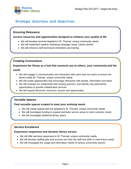

# <span id="page-4-0"></span>**Strategic directions and objectives**

## **Ensuring Relevance**

#### **Access resources and opportunities designed to enhance your quality of life**

- We will develop services targeted to St. Thomas' unique community needs,
- We will implement creative marketing campaign using "Library stories"
- We will enhance staff and board orientation and training

## **Creating Connections**

## **Experience the library as a hub that connects you to others, your community and the world**

- We will engage in communication and interaction with users and non-users to ensure the library meets St. Thomas' unique community needs
- We will create opportunities that encourage interaction with people, information and ideas
- We will evaluate our relationship with existing partners, and identify new partnership opportunities to provide collaborative services
- We will expand electronic resources, access and opportunities

## **Versatile Spaces**

#### **Find versatile spaces created to meet your evolving needs**

- We will create spaces that are targeted to St. Thomas' unique community needs
- We will investigate funding to expand and tailor service areas to meet customer needs
- We will investigate additional library space

## **Service Excellence**

#### **Experience responsive and dynamic library service**

- We will offer services responsive to St. Thomas' unique community needs
- We will develop staffing plan that ensures we have the staff and skills to meet future needs
- We will investigate the usage and information needs of various community sectors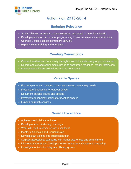<span id="page-5-0"></span>

# **Action Plan 2013-2014**

# **Enduring Relevance**

- <span id="page-5-1"></span>Study collection strengths and weaknesses, and adapt to meet local needs
- Develop evaluation process for programming to ensure relevance and efficiency
- Upgrade 5 public access computers annually
- Expand Board training and orientation

# **Creating Connections**

- <span id="page-5-2"></span>Connect readers and community through book clubs, networking opportunities, etc.
- Record and expand social media usage to encourage reader-to- reader interaction
- Interconnect different collections and the community

# **Versatile Spaces**

- <span id="page-5-3"></span>Ensure spaces and meeting rooms are meeting community needs
- Investigate fundraising for outdoor space
- Document parking issues and options
- Investigate technology options for meeting spaces
- <span id="page-5-4"></span>• Expand outreach services

# **Service Excellence**

- Achieve provincial accreditation
- Develop annual marketing campaign
- Work with staff to define service excellence
- Identify efficiencies and redundancies
- Develop staff training and succession plan
- Surpass accessibility standards with higher awareness and commitment
- Initiate procedures and install processes to ensure safe, secure computing
- Investigate options for integrated library system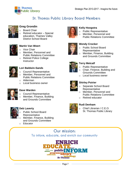

# **St. Thomas Public Library Board Members**



## <span id="page-6-0"></span>**Greg Grondin**

- **Board Chair**
- Retired educator Special education, Thames Valley District School Board



## **Martin Van Weert**

- o Vice Chair
- o Member, Personnel and Public Relations Committee
- o Retired Police College **Instructor**



## **Lori Baldwin-Sands**

- o Council Representative
- o Member, Personnel and Public Relations Committee
- o Alderman
- o Local business owner



## **Dave Warden**

- o Council Representative
- o Member, Finance, Building
- and Grounds Committee



## **Deb Laverty**

- Public School Board
- **Representative**
- Member, Finance, Building and Grounds Committee
- o Educator



### **Kelly Hoogstra**

- o Public Representative
- o Member, Personnel and
	- Public Relations Committee



## **Wendy Crocker**

- o Public School Board Representative
- Member, Finance, Building and Grounds Committee



## **Terry Metcalf**

- o Public Representative
- o Chair, Finance, Building and Grounds Committee
- o Local business owner



## **Shirley Poirier**

- Separate School Board **Representative**
- o Member, Personnel and Public Relations Committee
- o Retired educator

## **Rudi Denham**

- - o Chief Librarian / C.E.O. St. Thomas Public Library